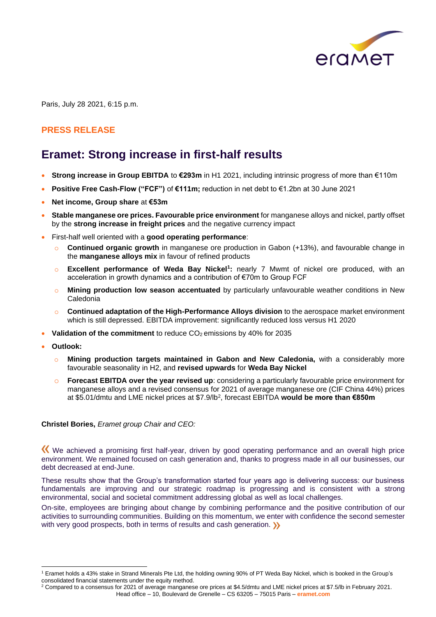

Paris, July 28 2021, 6:15 p.m.

### **PRESS RELEASE**

## **Eramet: Strong increase in first-half results**

- **Strong increase in Group EBITDA** to **€293m** in H1 2021, including intrinsic progress of more than €110m
- **Positive Free Cash-Flow ("FCF")** of **€111m;** reduction in net debt to €1.2bn at 30 June 2021
- **Net income, Group share** at **€53m**
- **Stable manganese ore prices. Favourable price environment** for manganese alloys and nickel, partly offset by the **strong increase in freight prices** and the negative currency impact
- First-half well oriented with a **good operating performance**:
	- o **Continued organic growth** in manganese ore production in Gabon (+13%), and favourable change in the **manganese alloys mix** in favour of refined products
	- o **Excellent performance of Weda Bay Nickel<sup>1</sup> :** nearly 7 Mwmt of nickel ore produced, with an acceleration in growth dynamics and a contribution of €70m to Group FCF
	- o **Mining production low season accentuated** by particularly unfavourable weather conditions in New Caledonia
	- o **Continued adaptation of the High-Performance Alloys division** to the aerospace market environment which is still depressed. EBITDA improvement: significantly reduced loss versus H1 2020
- Validation of the commitment to reduce CO<sub>2</sub> emissions by 40% for 2035
- **Outlook:**
	- o **Mining production targets maintained in Gabon and New Caledonia,** with a considerably more favourable seasonality in H2, and **revised upwards** for **Weda Bay Nickel**
	- **Forecast EBITDA over the year revised up**: considering a particularly favourable price environment for manganese alloys and a revised consensus for 2021 of average manganese ore (CIF China 44%) prices at \$5.01/dmtu and LME nickel prices at \$7.9/lb<sup>2</sup> , forecast EBITDA **would be more than €850m**

#### **Christel Bories,** *Eramet group Chair and CEO:*

We achieved a promising first half-year, driven by good operating performance and an overall high price environment. We remained focused on cash generation and, thanks to progress made in all our businesses, our debt decreased at end-June.

These results show that the Group's transformation started four years ago is delivering success: our business fundamentals are improving and our strategic roadmap is progressing and is consistent with a strong environmental, social and societal commitment addressing global as well as local challenges.

On-site, employees are bringing about change by combining performance and the positive contribution of our activities to surrounding communities. Building on this momentum, we enter with confidence the second semester with very good prospects, both in terms of results and cash generation.  $\sum$ 

<sup>1</sup> Eramet holds a 43% stake in Strand Minerals Pte Ltd, the holding owning 90% of PT Weda Bay Nickel, which is booked in the Group's consolidated financial statements under the equity method.

Head office – 10, Boulevard de Grenelle – CS 63205 – 75015 Paris – **eramet.com**  $2$  Compared to a consensus for 2021 of average manganese ore prices at \$4.5/dmtu and LME nickel prices at \$7.5/lb in February 2021.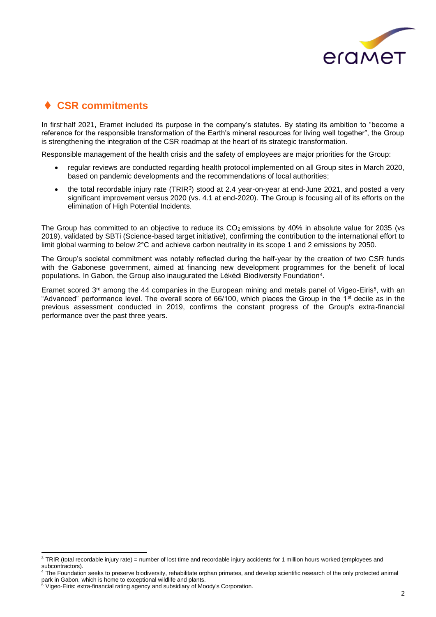

## ⧫ **CSR commitments**

In first-half 2021, Eramet included its purpose in the company's statutes. By stating its ambition to "become a reference for the responsible transformation of the Earth's mineral resources for living well together", the Group is strengthening the integration of the CSR roadmap at the heart of its strategic transformation.

Responsible management of the health crisis and the safety of employees are major priorities for the Group:

- regular reviews are conducted regarding health protocol implemented on all Group sites in March 2020, based on pandemic developments and the recommendations of local authorities;
- the total recordable injury rate  $(TRIR<sup>3</sup>)$  stood at 2.4 year-on-year at end-June 2021, and posted a very significant improvement versus 2020 (vs. 4.1 at end-2020). The Group is focusing all of its efforts on the elimination of High Potential Incidents.

The Group has committed to an objective to reduce its  $CO<sub>2</sub>$  emissions by 40% in absolute value for 2035 (vs 2019), validated by SBTi (Science-based target initiative), confirming the contribution to the international effort to limit global warming to below 2°C and achieve carbon neutrality in its scope 1 and 2 emissions by 2050.

The Group's societal commitment was notably reflected during the half-year by the creation of two CSR funds with the Gabonese government, aimed at financing new development programmes for the benefit of local populations. In Gabon, the Group also inaugurated the Lékédi Biodiversity Foundation<sup>4</sup> .

Eramet scored 3<sup>rd</sup> among the 44 companies in the European mining and metals panel of Vigeo-Eiris<sup>5</sup>, with an "Advanced" performance level. The overall score of 66/100, which places the Group in the 1st decile as in the previous assessment conducted in 2019, confirms the constant progress of the Group's extra-financial performance over the past three years.

<sup>&</sup>lt;sup>3</sup> TRIR (total recordable injury rate) = number of lost time and recordable injury accidents for 1 million hours worked (employees and subcontractors).

<sup>4</sup> The Foundation seeks to preserve biodiversity, rehabilitate orphan primates, and develop scientific research of the only protected animal park in Gabon, which is home to exceptional wildlife and plants.

<sup>&</sup>lt;sup>5</sup> Vigeo-Eiris: extra-financial rating agency and subsidiary of Moody's Corporation.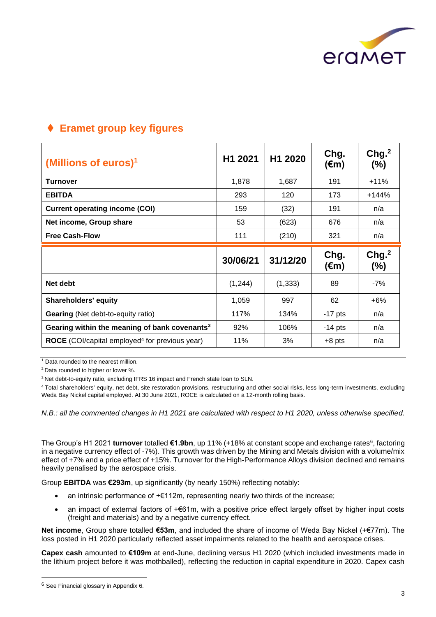

## ⧫ **Eramet group key figures**

| (Millions of euros) <sup>1</sup>                          | H1 2021  | H1 2020  | Chg.<br>$(\epsilon m)$ | Chg. <sup>2</sup><br>$(\%)$ |
|-----------------------------------------------------------|----------|----------|------------------------|-----------------------------|
| Turnover                                                  | 1,878    | 1,687    | 191                    | $+11%$                      |
| <b>EBITDA</b>                                             | 293      | 120      | 173                    | $+144%$                     |
| <b>Current operating income (COI)</b>                     | 159      | (32)     | 191                    | n/a                         |
| Net income, Group share                                   | 53       | (623)    | 676                    | n/a                         |
| <b>Free Cash-Flow</b>                                     | 111      | (210)    | 321                    | n/a                         |
|                                                           |          |          |                        |                             |
|                                                           | 30/06/21 | 31/12/20 | Chg.<br>$(\epsilon m)$ | Chg. <sup>2</sup><br>(%)    |
| Net debt                                                  | (1,244)  | (1, 333) | 89                     | $-7%$                       |
| <b>Shareholders' equity</b>                               | 1,059    | 997      | 62                     | $+6%$                       |
| <b>Gearing (Net debt-to-equity ratio)</b>                 | 117%     | 134%     | $-17$ pts              | n/a                         |
| Gearing within the meaning of bank covenants <sup>3</sup> | 92%      | 106%     | $-14$ pts              | n/a                         |

<sup>1</sup> Data rounded to the nearest million.

<sup>2</sup> Data rounded to higher or lower %.

<sup>3</sup> Net debt-to-equity ratio, excluding IFRS 16 impact and French state loan to SLN.

<sup>4</sup>Total shareholders' equity, net debt, site restoration provisions, restructuring and other social risks, less long-term investments, excluding Weda Bay Nickel capital employed. At 30 June 2021, ROCE is calculated on a 12-month rolling basis.

*N.B.: all the commented changes in H1 2021 are calculated with respect to H1 2020, unless otherwise specified.*

The Group's H1 2021 **turnover** totalled €1.9bn, up 11% (+18% at constant scope and exchange rates<sup>6</sup>, factoring in a negative currency effect of -7%). This growth was driven by the Mining and Metals division with a volume/mix effect of +7% and a price effect of +15%. Turnover for the High-Performance Alloys division declined and remains heavily penalised by the aerospace crisis.

Group **EBITDA** was **€293m**, up significantly (by nearly 150%) reflecting notably:

- an intrinsic performance of  $+\epsilon$ 112m, representing nearly two thirds of the increase;
- an impact of external factors of +€61m, with a positive price effect largely offset by higher input costs (freight and materials) and by a negative currency effect.

**Net income**, Group share totalled **€53m**, and included the share of income of Weda Bay Nickel (+€77m). The loss posted in H1 2020 particularly reflected asset impairments related to the health and aerospace crises.

**Capex cash** amounted to **€109m** at end-June, declining versus H1 2020 (which included investments made in the lithium project before it was mothballed), reflecting the reduction in capital expenditure in 2020. Capex cash

<sup>6</sup> See Financial glossary in Appendix 6.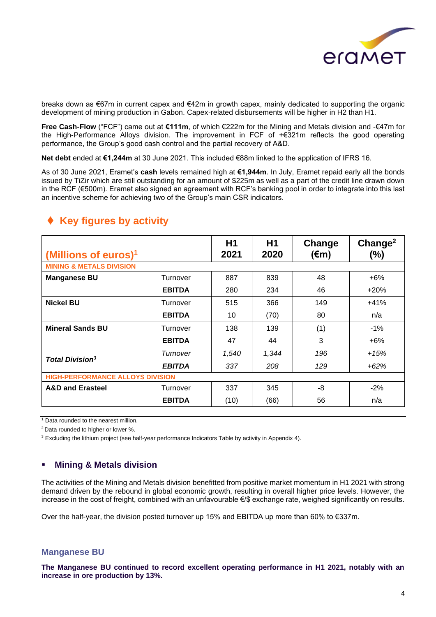

breaks down as €67m in current capex and €42m in growth capex, mainly dedicated to supporting the organic development of mining production in Gabon. Capex-related disbursements will be higher in H2 than H1.

**Free Cash-Flow** ("FCF") came out at **€111m**, of which €222m for the Mining and Metals division and -€47m for the High-Performance Alloys division. The improvement in FCF of +€321m reflects the good operating performance, the Group's good cash control and the partial recovery of A&D.

**Net debt** ended at **€1,244m** at 30 June 2021. This included €88m linked to the application of IFRS 16.

As of 30 June 2021, Eramet's **cash** levels remained high at **€1,944m**. In July, Eramet repaid early all the bonds issued by TiZir which are still outstanding for an amount of \$225m as well as a part of the credit line drawn down in the RCF (€500m). Eramet also signed an agreement with RCF's banking pool in order to integrate into this last an incentive scheme for achieving two of the Group's main CSR indicators.

| (Millions of euros) $1$                 |               | H1<br>2021 | H1<br>2020 | Change<br>$(\epsilon m)$ | Change <sup>2</sup><br>$(\% )$ |
|-----------------------------------------|---------------|------------|------------|--------------------------|--------------------------------|
| <b>MINING &amp; METALS DIVISION</b>     |               |            |            |                          |                                |
| <b>Manganese BU</b>                     | Turnover      | 887        | 839        | 48                       | $+6%$                          |
|                                         | <b>EBITDA</b> | 280        | 234        | 46                       | $+20%$                         |
| <b>Nickel BU</b>                        | Turnover      | 515        | 366        | 149                      | $+41%$                         |
|                                         | <b>EBITDA</b> | 10         | (70)       | 80                       | n/a                            |
| <b>Mineral Sands BU</b>                 | Turnover      | 138        | 139        | (1)                      | $-1%$                          |
|                                         | <b>EBITDA</b> | 47         | 44         | 3                        | $+6%$                          |
| <b>Total Division<sup>3</sup></b>       | Turnover      | 1,540      | 1,344      | 196                      | +15%                           |
|                                         | <b>EBITDA</b> | 337        | 208        | 129                      | $+62%$                         |
| <b>HIGH-PERFORMANCE ALLOYS DIVISION</b> |               |            |            |                          |                                |
| <b>A&amp;D and Erasteel</b>             | Turnover      | 337        | 345        | -8                       | $-2%$                          |
|                                         | <b>EBITDA</b> | (10)       | (66)       | 56                       | n/a                            |

## ◆ Key figures by activity

<sup>1</sup> Data rounded to the nearest million.

<sup>2</sup> Data rounded to higher or lower %.

<sup>3</sup> Excluding the lithium project (see half-year performance Indicators Table by activity in Appendix 4).

### ▪ **Mining & Metals division**

The activities of the Mining and Metals division benefitted from positive market momentum in H1 2021 with strong demand driven by the rebound in global economic growth, resulting in overall higher price levels. However, the increase in the cost of freight, combined with an unfavourable €/\$ exchange rate, weighed significantly on results.

Over the half-year, the division posted turnover up 15% and EBITDA up more than 60% to €337m.

#### **Manganese BU**

**The Manganese BU continued to record excellent operating performance in H1 2021, notably with an increase in ore production by 13%.**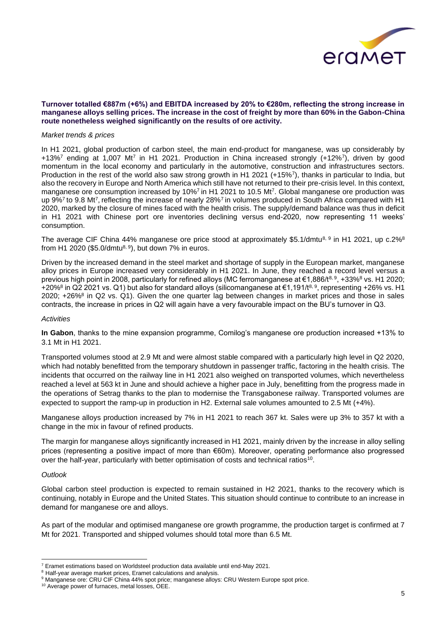

#### **Turnover totalled €887m (+6%) and EBITDA increased by 20% to €280m, reflecting the strong increase in manganese alloys selling prices. The increase in the cost of freight by more than 60% in the Gabon-China route nonetheless weighed significantly on the results of ore activity.**

#### *Market trends & prices*

In H1 2021, global production of carbon steel, the main end-product for manganese, was up considerably by +13%<sup>7</sup> ending at 1,007 Mt<sup>7</sup> in H1 2021. Production in China increased strongly (+12%<sup>7</sup>), driven by good momentum in the local economy and particularly in the automotive, construction and infrastructures sectors. Production in the rest of the world also saw strong growth in H1 2021 (+15%<sup>7</sup>), thanks in particular to India, but also the recovery in Europe and North America which still have not returned to their pre-crisis level. In this context, manganese ore consumption increased by 10%<sup>7</sup> in H1 2021 to 10.5 Mt<sup>7</sup>. Global manganese ore production was up 9%7 to 9.8 Mt7, reflecting the increase of nearly 28%7 in volumes produced in South Africa compared with H1 2020, marked by the closure of mines faced with the health crisis. The supply/demand balance was thus in deficit in H1 2021 with Chinese port ore inventories declining versus end-2020, now representing 11 weeks' consumption.

The average CIF China 44% manganese ore price stood at approximately \$5.1/dmtu8, 9 in H1 2021, up c.2%8 from H1 2020 (\$5.0/dmtu<sup>8, 9</sup>), but down 7% in euros.

Driven by the increased demand in the steel market and shortage of supply in the European market, manganese alloy prices in Europe increased very considerably in H1 2021. In June, they reached a record level versus a previous high point in 2008, particularly for refined alloys (MC ferromanganese at €1,886/t<sup>8, 9</sup>, +33%<sup>8</sup> vs. H1 2020; +20%<sup>8</sup> in Q2 2021 vs. Q1) but also for standard alloys (silicomanganese at €1,191/t<sup>8, 9</sup>, representing +26% vs. H1 2020; +26%<sup>8</sup> in Q2 vs. Q1). Given the one quarter lag between changes in market prices and those in sales contracts, the increase in prices in Q2 will again have a very favourable impact on the BU's turnover in Q3.

#### *Activities*

**In Gabon**, thanks to the mine expansion programme, Comilog's manganese ore production increased +13% to 3.1 Mt in H1 2021.

Transported volumes stood at 2.9 Mt and were almost stable compared with a particularly high level in Q2 2020, which had notably benefitted from the temporary shutdown in passenger traffic, factoring in the health crisis. The incidents that occurred on the railway line in H1 2021 also weighed on transported volumes, which nevertheless reached a level at 563 kt in June and should achieve a higher pace in July, benefitting from the progress made in the operations of Setrag thanks to the plan to modernise the Transgabonese railway. Transported volumes are expected to support the ramp-up in production in H2. External sale volumes amounted to 2.5 Mt (+4%).

Manganese alloys production increased by 7% in H1 2021 to reach 367 kt. Sales were up 3% to 357 kt with a change in the mix in favour of refined products.

The margin for manganese alloys significantly increased in H1 2021, mainly driven by the increase in alloy selling prices (representing a positive impact of more than €60m). Moreover, operating performance also progressed over the half-year, particularly with better optimisation of costs and technical ratios<sup>10</sup>.

#### *Outlook*

Global carbon steel production is expected to remain sustained in H2 2021, thanks to the recovery which is continuing, notably in Europe and the United States. This situation should continue to contribute to an increase in demand for manganese ore and alloys.

As part of the modular and optimised manganese ore growth programme, the production target is confirmed at 7 Mt for 2021. Transported and shipped volumes should total more than 6.5 Mt.

<sup>7</sup> Eramet estimations based on Worldsteel production data available until end-May 2021.

<sup>&</sup>lt;sup>8</sup> Half-year average market prices, Eramet calculations and analysis.

<sup>9</sup> Manganese ore: CRU CIF China 44% spot price; manganese alloys: CRU Western Europe spot price.

<sup>10</sup> Average power of furnaces, metal losses, OEE.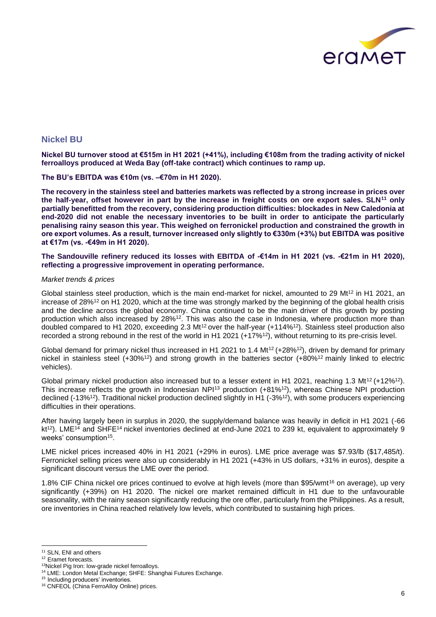

#### **Nickel BU**

**Nickel BU turnover stood at €515m in H1 2021 (+41%), including €108m from the trading activity of nickel ferroalloys produced at Weda Bay (off-take contract) which continues to ramp up.** 

**The BU's EBITDA was €10m (vs. –€70m in H1 2020).**

**The recovery in the stainless steel and batteries markets was reflected by a strong increase in prices over the half-year, offset however in part by the increase in freight costs on ore export sales. SLN<sup>11</sup> only partially benefitted from the recovery, considering production difficulties: blockades in New Caledonia at end-2020 did not enable the necessary inventories to be built in order to anticipate the particularly penalising rainy season this year. This weighed on ferronickel production and constrained the growth in ore export volumes. As a result, turnover increased only slightly to €330m (+3%) but EBITDA was positive at €17m (vs. -€49m in H1 2020).**

**The Sandouville refinery reduced its losses with EBITDA of -€14m in H1 2021 (vs. -€21m in H1 2020), reflecting a progressive improvement in operating performance.**

#### *Market trends & prices*

Global stainless steel production, which is the main end-market for nickel, amounted to 29 Mt<sup>12</sup> in H1 2021, an increase of 28%<sup>12</sup> on H1 2020, which at the time was strongly marked by the beginning of the global health crisis and the decline across the global economy. China continued to be the main driver of this growth by posting production which also increased by 28%<sup>12</sup>. This was also the case in Indonesia, where production more than doubled compared to H1 2020, exceeding 2.3 Mt<sup>12</sup> over the half-year (+114%<sup>12</sup>). Stainless steel production also recorded a strong rebound in the rest of the world in H1 2021 (+17%<sup>12</sup>), without returning to its pre-crisis level.

Global demand for primary nickel thus increased in H1 2021 to 1.4 Mt<sup>12</sup> (+28%<sup>12</sup>), driven by demand for primary nickel in stainless steel (+30%<sup>12</sup>) and strong growth in the batteries sector (+80%<sup>12</sup> mainly linked to electric vehicles).

Global primary nickel production also increased but to a lesser extent in H1 2021, reaching 1.3 Mt<sup>12</sup> (+12%<sup>12</sup>). This increase reflects the growth in Indonesian NPI<sup>13</sup> production (+81%<sup>12</sup>), whereas Chinese NPI production declined (-13%<sup>12</sup>). Traditional nickel production declined slightly in H1 (-3%<sup>12</sup>), with some producers experiencing difficulties in their operations.

After having largely been in surplus in 2020, the supply/demand balance was heavily in deficit in H1 2021 (-66 kt<sup>12</sup>). LME<sup>14</sup> and SHFE<sup>14</sup> nickel inventories declined at end-June 2021 to 239 kt, equivalent to approximately 9 weeks' consumption<sup>15</sup>.

LME nickel prices increased 40% in H1 2021 (+29% in euros). LME price average was \$7.93/lb (\$17,485/t). Ferronickel selling prices were also up considerably in H1 2021 (+43% in US dollars, +31% in euros), despite a significant discount versus the LME over the period.

1.8% CIF China nickel ore prices continued to evolve at high levels (more than \$95/wmt<sup>16</sup> on average), up very significantly (+39%) on H1 2020. The nickel ore market remained difficult in H1 due to the unfavourable seasonality, with the rainy season significantly reducing the ore offer, particularly from the Philippines. As a result, ore inventories in China reached relatively low levels, which contributed to sustaining high prices.

<sup>&</sup>lt;sup>11</sup> SLN, ENI and others

<sup>&</sup>lt;sup>12</sup> Eramet forecasts.

<sup>&</sup>lt;sup>13</sup>Nickel Pig Iron: low-grade nickel ferroalloys.

<sup>14</sup> LME: London Metal Exchange; SHFE: Shanghai Futures Exchange.

<sup>&</sup>lt;sup>15</sup> Including producers' inventories.

<sup>&</sup>lt;sup>16</sup> CNFEOL (China FerroAlloy Online) prices.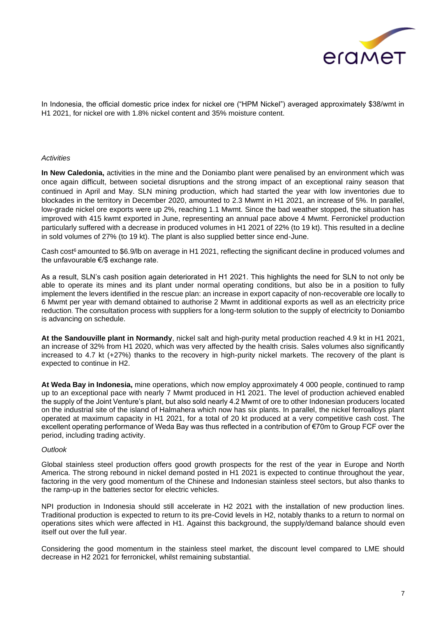

In Indonesia, the official domestic price index for nickel ore ("HPM Nickel") averaged approximately \$38/wmt in H1 2021, for nickel ore with 1.8% nickel content and 35% moisture content.

#### *Activities*

**In New Caledonia,** activities in the mine and the Doniambo plant were penalised by an environment which was once again difficult, between societal disruptions and the strong impact of an exceptional rainy season that continued in April and May. SLN mining production, which had started the year with low inventories due to blockades in the territory in December 2020, amounted to 2.3 Mwmt in H1 2021, an increase of 5%. In parallel, low-grade nickel ore exports were up 2%, reaching 1.1 Mwmt. Since the bad weather stopped, the situation has improved with 415 kwmt exported in June, representing an annual pace above 4 Mwmt. Ferronickel production particularly suffered with a decrease in produced volumes in H1 2021 of 22% (to 19 kt). This resulted in a decline in sold volumes of 27% (to 19 kt). The plant is also supplied better since end-June.

Cash cost<sup>6</sup> amounted to \$6.9/lb on average in H1 2021, reflecting the significant decline in produced volumes and the unfavourable €/\$ exchange rate.

As a result, SLN's cash position again deteriorated in H1 2021. This highlights the need for SLN to not only be able to operate its mines and its plant under normal operating conditions, but also be in a position to fully implement the levers identified in the rescue plan: an increase in export capacity of non-recoverable ore locally to 6 Mwmt per year with demand obtained to authorise 2 Mwmt in additional exports as well as an electricity price reduction. The consultation process with suppliers for a long-term solution to the supply of electricity to Doniambo is advancing on schedule.

**At the Sandouville plant in Normandy**, nickel salt and high-purity metal production reached 4.9 kt in H1 2021, an increase of 32% from H1 2020, which was very affected by the health crisis. Sales volumes also significantly increased to 4.7 kt (+27%) thanks to the recovery in high-purity nickel markets. The recovery of the plant is expected to continue in H2.

**At Weda Bay in Indonesia,** mine operations, which now employ approximately 4 000 people, continued to ramp up to an exceptional pace with nearly 7 Mwmt produced in H1 2021. The level of production achieved enabled the supply of the Joint Venture's plant, but also sold nearly 4.2 Mwmt of ore to other Indonesian producers located on the industrial site of the island of Halmahera which now has six plants. In parallel, the nickel ferroalloys plant operated at maximum capacity in H1 2021, for a total of 20 kt produced at a very competitive cash cost. The excellent operating performance of Weda Bay was thus reflected in a contribution of €70m to Group FCF over the period, including trading activity.

#### *Outlook*

Global stainless steel production offers good growth prospects for the rest of the year in Europe and North America. The strong rebound in nickel demand posted in H1 2021 is expected to continue throughout the year, factoring in the very good momentum of the Chinese and Indonesian stainless steel sectors, but also thanks to the ramp-up in the batteries sector for electric vehicles.

NPI production in Indonesia should still accelerate in H2 2021 with the installation of new production lines. Traditional production is expected to return to its pre-Covid levels in H2, notably thanks to a return to normal on operations sites which were affected in H1. Against this background, the supply/demand balance should even itself out over the full year.

Considering the good momentum in the stainless steel market, the discount level compared to LME should decrease in H2 2021 for ferronickel, whilst remaining substantial.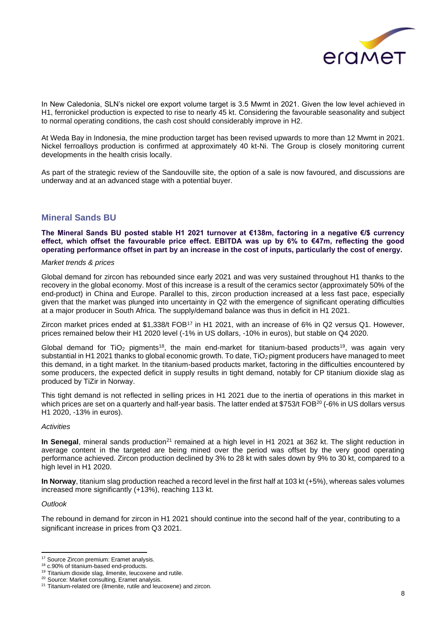

In New Caledonia, SLN's nickel ore export volume target is 3.5 Mwmt in 2021. Given the low level achieved in H1, ferronickel production is expected to rise to nearly 45 kt. Considering the favourable seasonality and subject to normal operating conditions, the cash cost should considerably improve in H2.

At Weda Bay in Indonesia, the mine production target has been revised upwards to more than 12 Mwmt in 2021. Nickel ferroalloys production is confirmed at approximately 40 kt-Ni. The Group is closely monitoring current developments in the health crisis locally.

As part of the strategic review of the Sandouville site, the option of a sale is now favoured, and discussions are underway and at an advanced stage with a potential buyer.

### **Mineral Sands BU**

**The Mineral Sands BU posted stable H1 2021 turnover at €138m, factoring in a negative €/\$ currency effect, which offset the favourable price effect. EBITDA was up by 6% to €47m, reflecting the good operating performance offset in part by an increase in the cost of inputs, particularly the cost of energy.**

#### *Market trends & prices*

Global demand for zircon has rebounded since early 2021 and was very sustained throughout H1 thanks to the recovery in the global economy. Most of this increase is a result of the ceramics sector (approximately 50% of the end-product) in China and Europe. Parallel to this, zircon production increased at a less fast pace, especially given that the market was plunged into uncertainty in Q2 with the emergence of significant operating difficulties at a major producer in South Africa. The supply/demand balance was thus in deficit in H1 2021.

Zircon market prices ended at \$1,338/t FOB<sup>17</sup> in H1 2021, with an increase of 6% in Q2 versus Q1. However, prices remained below their H1 2020 level (-1% in US dollars, -10% in euros), but stable on Q4 2020.

Global demand for TiO<sub>2</sub> pigments<sup>18</sup>, the main end-market for titanium-based products<sup>19</sup>, was again very substantial in H1 2021 thanks to global economic growth. To date, TiO<sub>2</sub> pigment producers have managed to meet this demand, in a tight market. In the titanium-based products market, factoring in the difficulties encountered by some producers, the expected deficit in supply results in tight demand, notably for CP titanium dioxide slag as produced by TiZir in Norway.

This tight demand is not reflected in selling prices in H1 2021 due to the inertia of operations in this market in which prices are set on a quarterly and half-year basis. The latter ended at \$753/t FOB<sup>20</sup> (-6% in US dollars versus H1 2020, -13% in euros).

#### *Activities*

**In Senegal**, mineral sands production<sup>21</sup> remained at a high level in H1 2021 at 362 kt. The slight reduction in average content in the targeted are being mined over the period was offset by the very good operating performance achieved. Zircon production declined by 3% to 28 kt with sales down by 9% to 30 kt, compared to a high level in H1 2020.

**In Norway**, titanium slag production reached a record level in the first half at 103 kt (+5%), whereas sales volumes increased more significantly (+13%), reaching 113 kt.

#### *Outlook*

The rebound in demand for zircon in H1 2021 should continue into the second half of the year, contributing to a significant increase in prices from Q3 2021.

<sup>&</sup>lt;sup>17</sup> Source Zircon premium: Eramet analysis.

<sup>18</sup> c.90% of titanium-based end-products.

<sup>&</sup>lt;sup>19</sup> Titanium dioxide slag, ilmenite, leucoxene and rutile.

<sup>&</sup>lt;sup>20</sup> Source: Market consulting, Eramet analysis.

<sup>&</sup>lt;sup>21</sup> Titanium-related ore (ilmenite, rutile and leucoxene) and zircon.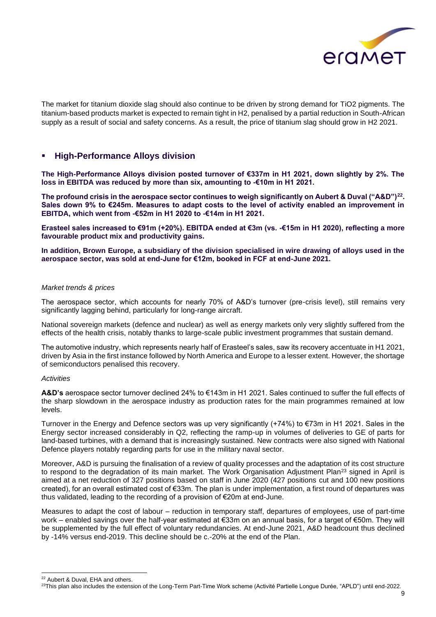

The market for titanium dioxide slag should also continue to be driven by strong demand for TiO2 pigments. The titanium-based products market is expected to remain tight in H2, penalised by a partial reduction in South-African supply as a result of social and safety concerns. As a result, the price of titanium slag should grow in H2 2021.

#### **High-Performance Alloys division**

**The High-Performance Alloys division posted turnover of €337m in H1 2021, down slightly by 2%. The loss in EBITDA was reduced by more than six, amounting to -€10m in H1 2021.**

**The profound crisis in the aerospace sector continues to weigh significantly on Aubert & Duval ("A&D")<sup>22</sup> . Sales down 9% to €245m. Measures to adapt costs to the level of activity enabled an improvement in EBITDA, which went from -€52m in H1 2020 to -€14m in H1 2021.**

**Erasteel sales increased to €91m (+20%). EBITDA ended at €3m (vs. -€15m in H1 2020), reflecting a more favourable product mix and productivity gains.** 

**In addition, Brown Europe, a subsidiary of the division specialised in wire drawing of alloys used in the aerospace sector, was sold at end-June for €12m, booked in FCF at end-June 2021.**

#### *Market trends & prices*

The aerospace sector, which accounts for nearly 70% of A&D's turnover (pre-crisis level), still remains very significantly lagging behind, particularly for long-range aircraft.

National sovereign markets (defence and nuclear) as well as energy markets only very slightly suffered from the effects of the health crisis, notably thanks to large-scale public investment programmes that sustain demand.

The automotive industry, which represents nearly half of Erasteel's sales, saw its recovery accentuate in H1 2021, driven by Asia in the first instance followed by North America and Europe to a lesser extent. However, the shortage of semiconductors penalised this recovery.

#### *Activities*

**A&D's** aerospace sector turnover declined 24% to €143m in H1 2021. Sales continued to suffer the full effects of the sharp slowdown in the aerospace industry as production rates for the main programmes remained at low levels.

Turnover in the Energy and Defence sectors was up very significantly (+74%) to €73m in H1 2021. Sales in the Energy sector increased considerably in Q2, reflecting the ramp-up in volumes of deliveries to GE of parts for land-based turbines, with a demand that is increasingly sustained. New contracts were also signed with National Defence players notably regarding parts for use in the military naval sector.

Moreover, A&D is pursuing the finalisation of a review of quality processes and the adaptation of its cost structure to respond to the degradation of its main market. The Work Organisation Adjustment Plan<sup>23</sup> signed in April is aimed at a net reduction of 327 positions based on staff in June 2020 (427 positions cut and 100 new positions created), for an overall estimated cost of €33m. The plan is under implementation, a first round of departures was thus validated, leading to the recording of a provision of €20m at end-June.

Measures to adapt the cost of labour – reduction in temporary staff, departures of employees, use of part-time work – enabled savings over the half-year estimated at €33m on an annual basis, for a target of €50m. They will be supplemented by the full effect of voluntary redundancies. At end-June 2021, A&D headcount thus declined by -14% versus end-2019. This decline should be c.-20% at the end of the Plan.

<sup>22</sup> Aubert & Duval, EHA and others.

<sup>&</sup>lt;sup>23</sup>This plan also includes the extension of the Long-Term Part-Time Work scheme (Activité Partielle Longue Durée, "APLD") until end-2022.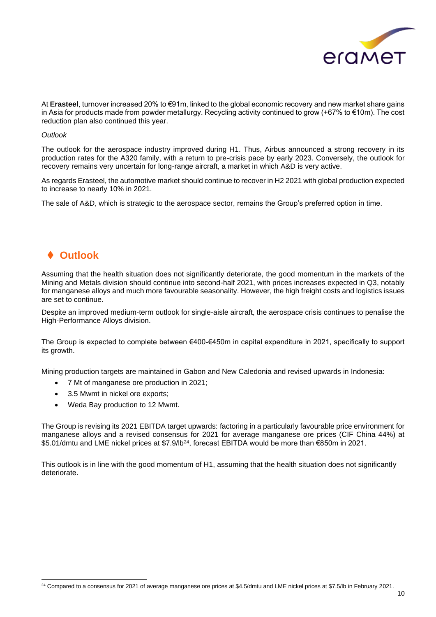

At **Erasteel**, turnover increased 20% to €91m, linked to the global economic recovery and new market share gains in Asia for products made from powder metallurgy. Recycling activity continued to grow (+67% to €10m). The cost reduction plan also continued this year.

#### *Outlook*

The outlook for the aerospace industry improved during H1. Thus, Airbus announced a strong recovery in its production rates for the A320 family, with a return to pre-crisis pace by early 2023. Conversely, the outlook for recovery remains very uncertain for long-range aircraft, a market in which A&D is very active.

As regards Erasteel, the automotive market should continue to recover in H2 2021 with global production expected to increase to nearly 10% in 2021.

The sale of A&D, which is strategic to the aerospace sector, remains the Group's preferred option in time.

## ⧫ **Outlook**

Assuming that the health situation does not significantly deteriorate, the good momentum in the markets of the Mining and Metals division should continue into second-half 2021, with prices increases expected in Q3, notably for manganese alloys and much more favourable seasonality. However, the high freight costs and logistics issues are set to continue.

Despite an improved medium-term outlook for single-aisle aircraft, the aerospace crisis continues to penalise the High-Performance Alloys division.

The Group is expected to complete between €400-€450m in capital expenditure in 2021, specifically to support its growth.

Mining production targets are maintained in Gabon and New Caledonia and revised upwards in Indonesia:

- 7 Mt of manganese ore production in 2021:
- 3.5 Mwmt in nickel ore exports;
- Weda Bay production to 12 Mwmt.

The Group is revising its 2021 EBITDA target upwards: factoring in a particularly favourable price environment for manganese alloys and a revised consensus for 2021 for average manganese ore prices (CIF China 44%) at \$5.01/dmtu and LME nickel prices at \$7.9/lb<sup>24</sup>, forecast EBITDA would be more than €850m in 2021.

This outlook is in line with the good momentum of H1, assuming that the health situation does not significantly deteriorate.

 $24$  Compared to a consensus for 2021 of average manganese ore prices at \$4.5/dmtu and LME nickel prices at \$7.5/lb in February 2021.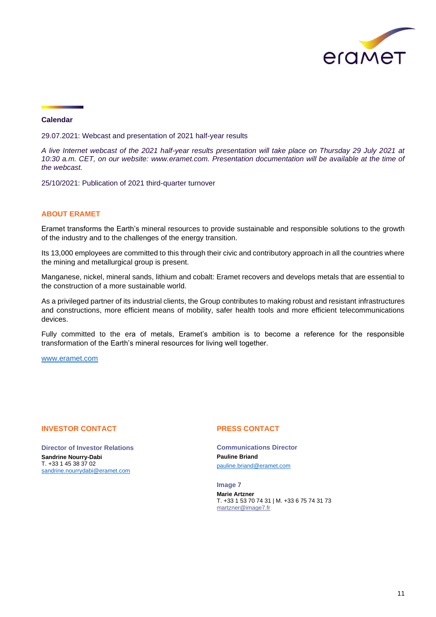

#### **Calendar**

29.07.2021: Webcast and presentation of 2021 half-year results

*A live Internet webcast of the 2021 half-year results presentation will take place on Thursday 29 July 2021 at 10:30 a.m. CET, on our website: www.eramet.com. Presentation documentation will be available at the time of the webcast.*

25/10/2021: Publication of 2021 third-quarter turnover

#### **ABOUT ERAMET**

Eramet transforms the Earth's mineral resources to provide sustainable and responsible solutions to the growth of the industry and to the challenges of the energy transition.

Its 13,000 employees are committed to this through their civic and contributory approach in all the countries where the mining and metallurgical group is present.

Manganese, nickel, mineral sands, lithium and cobalt: Eramet recovers and develops metals that are essential to the construction of a more sustainable world.

As a privileged partner of its industrial clients, the Group contributes to making robust and resistant infrastructures and constructions, more efficient means of mobility, safer health tools and more efficient telecommunications devices.

Fully committed to the era of metals, Eramet's ambition is to become a reference for the responsible transformation of the Earth's mineral resources for living well together.

www[.eramet.c](http://www.eramet.com/)om

#### **INVESTOR CONTACT**

**Director of Investor Relations Sandrine Nourry-Dabi** T. +33 1 45 38 37 02 [sandrine.nourrydabi@eramet.com](mailto:sandrine.nourrydabi@eramet.com)

#### **PRESS CONTACT**

**Communications Director Pauline Briand** [pauline.briand@eramet.com](mailto:pauline.briand@eramet.com)

**Image 7 Marie Artzner** T. +33 1 53 70 74 31 | M. +33 6 75 74 31 73 [martzner@image7.fr](mailto:martzner@image7.fr)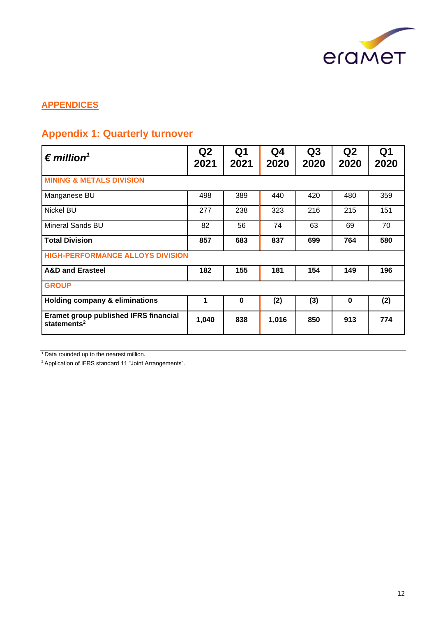

### **APPENDICES**

## **Appendix 1: Quarterly turnover**

| $\epsilon$ million <sup>1</sup>                                         | Q2<br>2021 | Q <sub>1</sub><br>2021 | Q4<br>2020 | Q3<br>2020 | Q <sub>2</sub><br>2020 | Q <sub>1</sub><br>2020 |
|-------------------------------------------------------------------------|------------|------------------------|------------|------------|------------------------|------------------------|
| <b>MINING &amp; METALS DIVISION</b>                                     |            |                        |            |            |                        |                        |
| Manganese BU                                                            | 498        | 389                    | 440        | 420        | 480                    | 359                    |
| Nickel BU                                                               | 277        | 238                    | 323        | 216        | 215                    | 151                    |
| <b>Mineral Sands BU</b>                                                 | 82         | 56                     | 74         | 63         | 69                     | 70                     |
| <b>Total Division</b>                                                   | 857        | 683                    | 837        | 699        | 764                    | 580                    |
| <b>HIGH-PERFORMANCE ALLOYS DIVISION</b>                                 |            |                        |            |            |                        |                        |
| <b>A&amp;D and Erasteel</b>                                             | 182        | 155                    | 181        | 154        | 149                    | 196                    |
| <b>GROUP</b>                                                            |            |                        |            |            |                        |                        |
| <b>Holding company &amp; eliminations</b>                               | 1          | $\bf{0}$               | (2)        | (3)        | $\bf{0}$               | (2)                    |
| <b>Eramet group published IFRS financial</b><br>statements <sup>2</sup> | 1,040      | 838                    | 1,016      | 850        | 913                    | 774                    |

<sup>1</sup>Data rounded up to the nearest million.

2 Application of IFRS standard 11 "Joint Arrangements".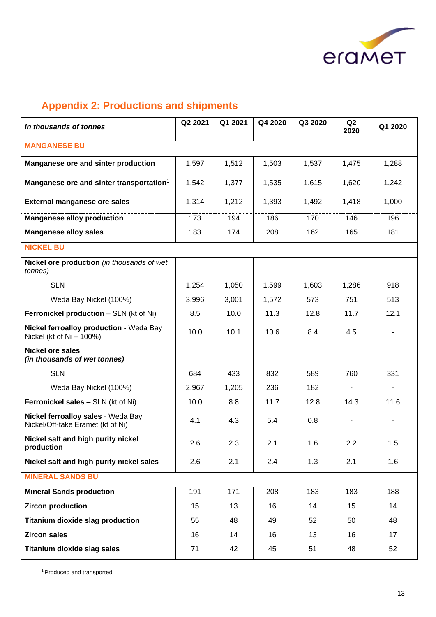

# **Appendix 2: Productions and shipments**

| In thousands of tonnes                                                  | Q2 2021 | Q1 2021 | Q4 2020 | Q3 2020 | Q <sub>2</sub><br>2020 | Q1 2020 |
|-------------------------------------------------------------------------|---------|---------|---------|---------|------------------------|---------|
| <b>MANGANESE BU</b>                                                     |         |         |         |         |                        |         |
| Manganese ore and sinter production                                     | 1,597   | 1,512   | 1,503   | 1,537   | 1,475                  | 1,288   |
| Manganese ore and sinter transportation <sup>1</sup>                    | 1,542   | 1,377   | 1,535   | 1,615   | 1,620                  | 1,242   |
| <b>External manganese ore sales</b>                                     | 1,314   | 1,212   | 1,393   | 1,492   | 1,418                  | 1,000   |
| <b>Manganese alloy production</b>                                       | 173     | 194     | 186     | 170     | 146                    | 196     |
| <b>Manganese alloy sales</b>                                            | 183     | 174     | 208     | 162     | 165                    | 181     |
| <b>NICKEL BU</b>                                                        |         |         |         |         |                        |         |
| Nickel ore production (in thousands of wet<br>tonnes)                   |         |         |         |         |                        |         |
| <b>SLN</b>                                                              | 1,254   | 1,050   | 1,599   | 1,603   | 1,286                  | 918     |
| Weda Bay Nickel (100%)                                                  | 3,996   | 3,001   | 1,572   | 573     | 751                    | 513     |
| Ferronickel production - SLN (kt of Ni)                                 | 8.5     | 10.0    | 11.3    | 12.8    | 11.7                   | 12.1    |
| Nickel ferroalloy production - Weda Bay<br>Nickel (kt of $Ni - 100\%)$  | 10.0    | 10.1    | 10.6    | 8.4     | 4.5                    |         |
| <b>Nickel ore sales</b><br>(in thousands of wet tonnes)                 |         |         |         |         |                        |         |
| <b>SLN</b>                                                              | 684     | 433     | 832     | 589     | 760                    | 331     |
| Weda Bay Nickel (100%)                                                  | 2,967   | 1,205   | 236     | 182     |                        |         |
| <b>Ferronickel sales</b> - SLN (kt of Ni)                               | 10.0    | 8.8     | 11.7    | 12.8    | 14.3                   | 11.6    |
| Nickel ferroalloy sales - Weda Bay<br>Nickel/Off-take Eramet (kt of Ni) | 4.1     | 4.3     | 5.4     | 0.8     |                        |         |
| Nickel salt and high purity nickel<br>production                        | 2.6     | 2.3     | 2.1     | 1.6     | 2.2                    | 1.5     |
| Nickel salt and high purity nickel sales                                | 2.6     | 2.1     | 2.4     | 1.3     | 2.1                    | 1.6     |
| <b>MINERAL SANDS BU</b>                                                 |         |         |         |         |                        |         |
| <b>Mineral Sands production</b>                                         | 191     | 171     | 208     | 183     | 183                    | 188     |
| <b>Zircon production</b>                                                | 15      | 13      | 16      | 14      | 15                     | 14      |
| <b>Titanium dioxide slag production</b>                                 | 55      | 48      | 49      | 52      | 50                     | 48      |
| <b>Zircon sales</b>                                                     | 16      | 14      | 16      | 13      | 16                     | 17      |
| <b>Titanium dioxide slag sales</b>                                      | 71      | 42      | 45      | 51      | 48                     | 52      |

<sup>1</sup> Produced and transported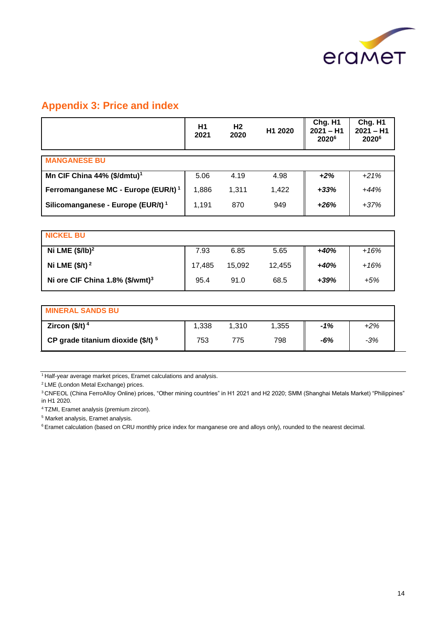

## **Appendix 3: Price and index**

|                                                 | H1<br>2021 | H <sub>2</sub><br>2020 | H1 2020 | Chg. H1<br>$2021 - H1$<br>2020 <sup>6</sup> | Chg. H1<br>$2021 - H1$<br>20206 |
|-------------------------------------------------|------------|------------------------|---------|---------------------------------------------|---------------------------------|
| <b>MANGANESE BU</b>                             |            |                        |         |                                             |                                 |
| Mn CIF China 44% (\$/dmtu) <sup>1</sup>         | 5.06       | 4.19                   | 4.98    | $+2%$                                       | $+21%$                          |
| Ferromanganese MC - Europe (EUR/t) <sup>1</sup> | 1,886      | 1,311                  | 1,422   | $+33%$                                      | $+44%$                          |
| Silicomanganese - Europe (EUR/t) <sup>1</sup>   | 1,191      | 870                    | 949     | $+26%$                                      | $+37%$                          |
|                                                 |            |                        |         |                                             |                                 |
| <b>NICKEL BU</b>                                |            |                        |         |                                             |                                 |
| Ni LME $(\frac{5}{lb})^2$                       | 7.93       | 6.85                   | 5.65    | $+40%$                                      | $+16%$                          |
| Ni LME $($/t)^2$                                | 17,485     | 15,092                 | 12,455  | $+40%$                                      | $+16%$                          |
| Ni ore CIF China 1.8% (\$/wmt) <sup>3</sup>     | 95.4       | 91.0                   | 68.5    | $+39%$                                      | +5%                             |
|                                                 |            |                        |         |                                             |                                 |
| <b>MINERAL SANDS BU</b>                         |            |                        |         |                                             |                                 |
| Zircon $($/t)$ <sup>4</sup>                     | 1,338      | 1,310                  | 1,355   | -1%                                         | $+2%$                           |

<sup>1</sup> Half-year average market prices, Eramet calculations and analysis.

<sup>2</sup>LME (London Metal Exchange) prices.

<sup>3</sup> CNFEOL (China FerroAlloy Online) prices, "Other mining countries" in H1 2021 and H2 2020; SMM (Shanghai Metals Market) "Philippines" in H1 2020.

**CP grade titanium dioxide (\$/t) <sup>5</sup>** 753 775 798 *-6% -3%*

<sup>4</sup>TZMI, Eramet analysis (premium zircon).

<sup>5</sup> Market analysis, Eramet analysis.

<sup>6</sup> Eramet calculation (based on CRU monthly price index for manganese ore and alloys only), rounded to the nearest decimal.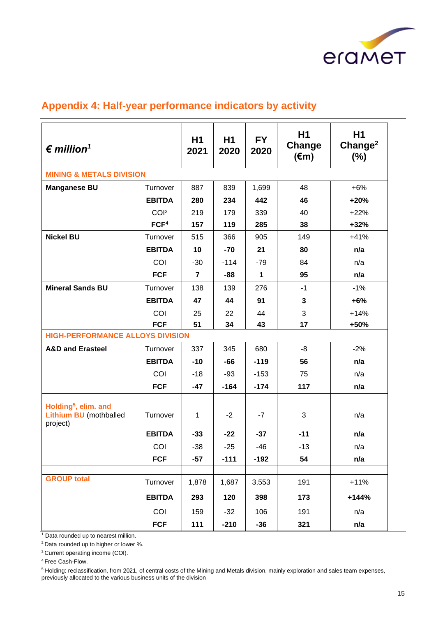

## **Appendix 4: Half-year performance indicators by activity**

| $\epsilon$ million <sup>1</sup>                                   |                  | H1<br>2021     | H1<br>2020 | <b>FY</b><br>2020 | H <sub>1</sub><br>Change<br>$(\epsilon m)$ | H <sub>1</sub><br>Change <sup>2</sup><br>$(\%)$ |
|-------------------------------------------------------------------|------------------|----------------|------------|-------------------|--------------------------------------------|-------------------------------------------------|
| <b>MINING &amp; METALS DIVISION</b>                               |                  |                |            |                   |                                            |                                                 |
| <b>Manganese BU</b>                                               | Turnover         | 887            | 839        | 1,699             | 48                                         | $+6%$                                           |
|                                                                   | <b>EBITDA</b>    | 280            | 234        | 442               | 46                                         | $+20%$                                          |
|                                                                   | COI <sup>3</sup> | 219            | 179        | 339               | 40                                         | $+22%$                                          |
|                                                                   | FCF <sup>4</sup> | 157            | 119        | 285               | 38                                         | $+32%$                                          |
| <b>Nickel BU</b>                                                  | Turnover         | 515            | 366        | 905               | 149                                        | $+41%$                                          |
|                                                                   | <b>EBITDA</b>    | 10             | $-70$      | 21                | 80                                         | n/a                                             |
|                                                                   | COI              | $-30$          | $-114$     | $-79$             | 84                                         | n/a                                             |
|                                                                   | <b>FCF</b>       | $\overline{7}$ | -88        | 1                 | 95                                         | n/a                                             |
| <b>Mineral Sands BU</b>                                           | Turnover         | 138            | 139        | 276               | $-1$                                       | $-1%$                                           |
|                                                                   | <b>EBITDA</b>    | 47             | 44         | 91                | 3                                          | $+6%$                                           |
|                                                                   | COI              | 25             | 22         | 44                | 3                                          | $+14%$                                          |
|                                                                   | <b>FCF</b>       | 51             | 34         | 43                | 17                                         | +50%                                            |
| <b>HIGH-PERFORMANCE ALLOYS DIVISION</b>                           |                  |                |            |                   |                                            |                                                 |
| <b>A&amp;D and Erasteel</b>                                       | Turnover         | 337            | 345        | 680               | -8                                         | $-2%$                                           |
|                                                                   | <b>EBITDA</b>    | $-10$          | $-66$      | $-119$            | 56                                         | n/a                                             |
|                                                                   | COI              | $-18$          | $-93$      | $-153$            | 75                                         | n/a                                             |
|                                                                   | <b>FCF</b>       | $-47$          | $-164$     | $-174$            | 117                                        | n/a                                             |
| Holding <sup>5</sup> , elim. and<br><b>Lithium BU</b> (mothballed | Turnover         | 1              | $-2$       | $-7$              | 3                                          | n/a                                             |
| project)                                                          | <b>EBITDA</b>    | $-33$          | $-22$      | $-37$             | $-11$                                      | n/a                                             |
|                                                                   | COI              | $-38$          | $-25$      | $-46$             | $-13$                                      | n/a                                             |
|                                                                   | <b>FCF</b>       | $-57$          | $-111$     | $-192$            | 54                                         | n/a                                             |
|                                                                   |                  |                |            |                   |                                            |                                                 |
| <b>GROUP total</b>                                                | Turnover         | 1,878          | 1,687      | 3,553             | 191                                        | $+11%$                                          |
|                                                                   | <b>EBITDA</b>    | 293            | 120        | 398               | 173                                        | $+144%$                                         |
|                                                                   | COI              | 159            | $-32$      | 106               | 191                                        | n/a                                             |
|                                                                   | <b>FCF</b>       | 111            | $-210$     | $-36$             | 321                                        | n/a                                             |

<sup>1</sup> Data rounded up to nearest million.

<sup>2</sup> Data rounded up to higher or lower %.

<sup>3</sup> Current operating income (COI).

<sup>4</sup>Free Cash-Flow.

<sup>5</sup> Holding: reclassification, from 2021, of central costs of the Mining and Metals division, mainly exploration and sales team expenses, previously allocated to the various business units of the division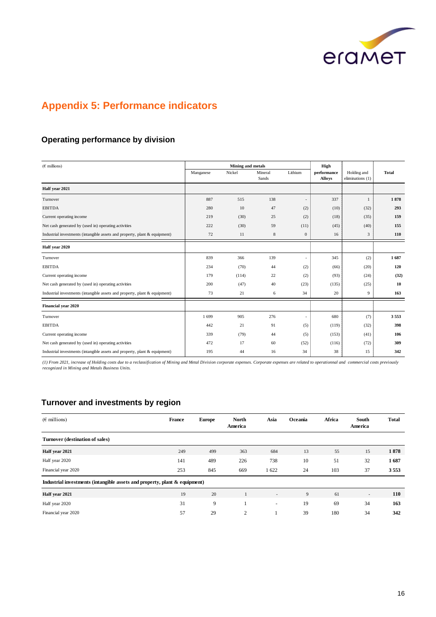

# **Appendix 5: Performance indicators**

### **Operating performance by division**

| $(E$ millions)                                                             |           | Mining and metals |                  |              | High                         |                                 |              |
|----------------------------------------------------------------------------|-----------|-------------------|------------------|--------------|------------------------------|---------------------------------|--------------|
|                                                                            | Manganese | Nickel            | Mineral<br>Sands | Lithium      | performance<br><b>Alloys</b> | Holding and<br>eliminations (1) | <b>Total</b> |
| Half year 2021                                                             |           |                   |                  |              |                              |                                 |              |
| Turnover                                                                   | 887       | 515               | 138              | $\sim$       | 337                          | 1                               | 1878         |
| <b>EBITDA</b>                                                              | 280       | 10                | 47               | (2)          | (10)                         | (32)                            | 293          |
| Current operating income                                                   | 219       | (30)              | 25               | (2)          | (18)                         | (35)                            | 159          |
| Net cash generated by (used in) operating activities                       | 222       | (30)              | 59               | (11)         | (45)                         | (40)                            | 155          |
| Industrial investments (intangible assets and property, plant & equipment) | 72        | 11                | $\,8\,$          | $\mathbf{0}$ | 16                           | 3                               | 110          |
| Half year 2020                                                             |           |                   |                  |              |                              |                                 |              |
| Turnover                                                                   | 839       | 366               | 139              | ٠            | 345                          | (2)                             | 1687         |
| <b>EBITDA</b>                                                              | 234       | (70)              | 44               | (2)          | (66)                         | (20)                            | 120          |
| Current operating income                                                   | 179       | (114)             | 22               | (2)          | (93)                         | (24)                            | (32)         |
| Net cash generated by (used in) operating activities                       | 200       | (47)              | 40               | (23)         | (135)                        | (25)                            | 10           |
| Industrial investments (intangible assets and property, plant & equipment) | 73        | 21                | 6                | 34           | 20                           | 9                               | 163          |
| Financial year 2020                                                        |           |                   |                  |              |                              |                                 |              |
| Turnover                                                                   | 1699      | 905               | 276              | ٠            | 680                          | (7)                             | 3553         |
| <b>EBITDA</b>                                                              | 442       | 21                | 91               | (5)          | (119)                        | (32)                            | 398          |
| Current operating income                                                   | 339       | (79)              | 44               | (5)          | (153)                        | (41)                            | 106          |
| Net cash generated by (used in) operating activities                       | 472       | 17                | 60               | (52)         | (116)                        | (72)                            | 309          |
| Industrial investments (intangible assets and property, plant & equipment) | 195       | 44                | 16               | 34           | 38                           | 15                              | 342          |

*(1) From 2021, increase of Holding costs due to a reclassification of Mining and Metal Division corporate expenses. Corporate expenses are related to operationnal and commercial costs previously recognized in Mining and Metals Business Units.*

### **Turnover and investments by region**

| $(E$ millions)                                                                | France | <b>Europe</b> | <b>North</b><br>America | Asia                     | Oceania | Africa | South<br>America         | <b>Total</b> |
|-------------------------------------------------------------------------------|--------|---------------|-------------------------|--------------------------|---------|--------|--------------------------|--------------|
| Turnover (destination of sales)                                               |        |               |                         |                          |         |        |                          |              |
| Half year 2021                                                                | 249    | 499           | 363                     | 684                      | 13      | 55     | 15                       | 1878         |
| Half year 2020                                                                | 141    | 489           | 226                     | 738                      | 10      | 51     | 32                       | 1687         |
| Financial year 2020                                                           | 253    | 845           | 669                     | 1622                     | 24      | 103    | 37                       | 3553         |
| Industrial investments (intangible assets and property, plant $\&$ equipment) |        |               |                         |                          |         |        |                          |              |
| Half year 2021                                                                | 19     | 20            |                         | $\overline{\phantom{a}}$ | 9       | 61     | $\overline{\phantom{a}}$ | 110          |
| Half year 2020                                                                | 31     | 9             |                         | $\overline{\phantom{a}}$ | 19      | 69     | 34                       | 163          |
| Financial year 2020                                                           | 57     | 29            | 2                       |                          | 39      | 180    | 34                       | 342          |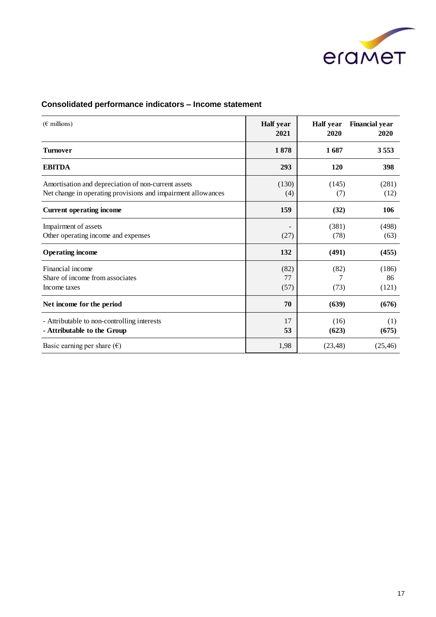

## **Consolidated performance indicators – Income statement**

| $(\epsilon$ millions)                                                                                               | Half year<br>2021  | <b>Half</b> year<br>2020 | <b>Financial year</b><br>2020 |
|---------------------------------------------------------------------------------------------------------------------|--------------------|--------------------------|-------------------------------|
| <b>Turnover</b>                                                                                                     | 1878               | 1687                     | 3553                          |
| <b>EBITDA</b>                                                                                                       | 293                | 120                      | 398                           |
| Amortisation and depreciation of non-current assets<br>Net change in operating provisions and impairment allowances | (130)<br>(4)       | (145)<br>(7)             | (281)<br>(12)                 |
| <b>Current operating income</b>                                                                                     | 159                | (32)                     | 106                           |
| Impairment of assets<br>Other operating income and expenses                                                         | (27)               | (381)<br>(78)            | (498)<br>(63)                 |
| <b>Operating income</b>                                                                                             | 132                | (491)                    | (455)                         |
| Financial income<br>Share of income from associates<br>Income taxes                                                 | (82)<br>77<br>(57) | (82)<br>7<br>(73)        | (186)<br>86<br>(121)          |
| Net income for the period                                                                                           | 70                 | (639)                    | (676)                         |
| - Attributable to non-controlling interests<br>- Attributable to the Group                                          | 17<br>53           | (16)<br>(623)            | (1)<br>(675)                  |
| Basic earning per share $(\epsilon)$                                                                                | 1,98               | (23, 48)                 | (25, 46)                      |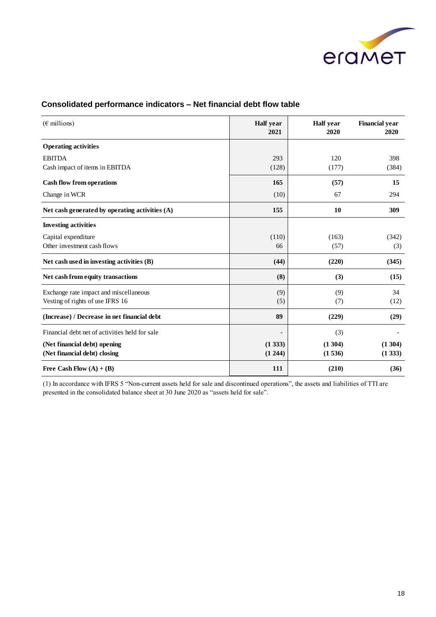

| $(\epsilon \text{ millions})$                   | <b>Half</b> year<br>2021 | <b>Half</b> year<br>2020 | <b>Financial year</b><br>2020 |
|-------------------------------------------------|--------------------------|--------------------------|-------------------------------|
| <b>Operating activities</b>                     |                          |                          |                               |
| <b>EBITDA</b><br>Cash impact of items in EBITDA | 293<br>(128)             | 120<br>(177)             | 398<br>(384)                  |
| <b>Cash flow from operations</b>                | 165                      | (57)                     | 15                            |
| Change in WCR                                   | (10)                     | 67                       | 294                           |
| Net cash generated by operating activities (A)  | 155                      | 10                       | 309                           |
| <b>Investing activities</b>                     |                          |                          |                               |
| Capital expenditure                             | (110)                    | (163)                    | (342)                         |
| Other investment cash flows                     | 66                       | (57)                     | (3)                           |
| Net cash used in investing activities (B)       | (44)                     | (220)                    | (345)                         |
| Net cash from equity transactions               | (8)                      | (3)                      | (15)                          |
| Exchange rate impact and miscellaneous          | (9)                      | (9)                      | 34                            |
| Vesting of rights of use IFRS 16                | (5)                      | (7)                      | (12)                          |
| (Increase) / Decrease in net financial debt     | 89                       | (229)                    | (29)                          |
| Financial debt net of activities held for sale  |                          | (3)                      |                               |
| (Net financial debt) opening                    | (1333)                   | (1304)                   | (1304)                        |
| (Net financial debt) closing                    | (1244)                   | (1536)                   | (1333)                        |
| Free Cash Flow $(A) + (B)$                      | 111                      | (210)                    | (36)                          |

### **Consolidated performance indicators – Net financial debt flow table**

(1) In accordance with IFRS 5 "Non-current assets held for sale and discontinued operations", the assets and liabilities of TTI are presented in the consolidated balance sheet at 30 June 2020 as "assets held for sale".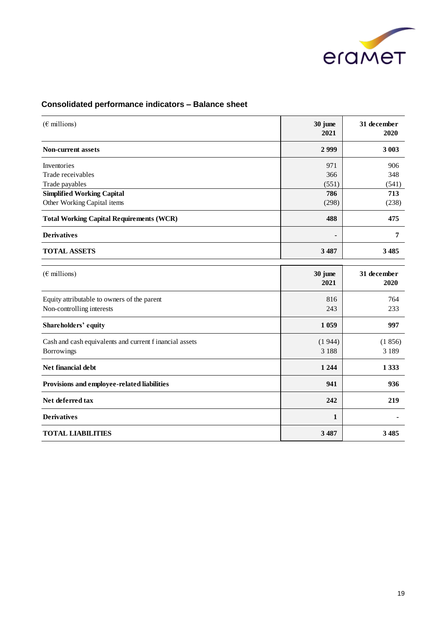

### **Consolidated performance indicators – Balance sheet**

| $(E$ millions)                                                           | 30 june<br>2021     | 31 december<br>2020 |
|--------------------------------------------------------------------------|---------------------|---------------------|
| Non-current assets                                                       | 2999                | 3 003               |
| Inventories<br>Trade receivables<br>Trade payables                       | 971<br>366<br>(551) | 906<br>348<br>(541) |
| <b>Simplified Working Capital</b><br>Other Working Capital items         | 786<br>(298)        | 713<br>(238)        |
| <b>Total Working Capital Requirements (WCR)</b>                          | 488                 | 475                 |
| <b>Derivatives</b>                                                       | -                   | 7                   |
| <b>TOTAL ASSETS</b>                                                      | 3 4 8 7             | 3 4 8 5             |
| $(\epsilon \text{ millions})$                                            | 30 june<br>2021     | 31 december<br>2020 |
| Equity attributable to owners of the parent<br>Non-controlling interests | 816<br>243          | 764<br>233          |
| Shareholders' equity                                                     | 1 0 5 9             | 997                 |
| Cash and cash equivalents and current f inancial assets<br>Borrowings    | (1944)<br>3 1 8 8   | (1856)<br>3 1 8 9   |
| Net financial debt                                                       | 1 2 4 4             | 1 3 3 3             |
| Provisions and employee-related liabilities                              | 941                 | 936                 |
| Net deferred tax                                                         | 242                 | 219                 |
| <b>Derivatives</b>                                                       | $\mathbf{1}$        |                     |
| <b>TOTAL LIABILITIES</b>                                                 | 3 4 8 7             | 3 4 8 5             |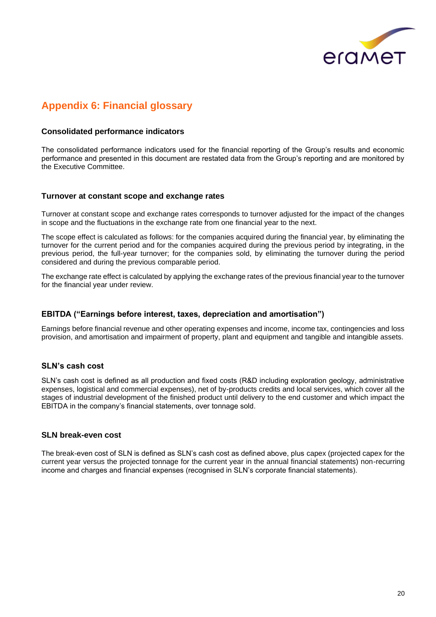

## **Appendix 6: Financial glossary**

#### **Consolidated performance indicators**

The consolidated performance indicators used for the financial reporting of the Group's results and economic performance and presented in this document are restated data from the Group's reporting and are monitored by the Executive Committee.

#### **Turnover at constant scope and exchange rates**

Turnover at constant scope and exchange rates corresponds to turnover adjusted for the impact of the changes in scope and the fluctuations in the exchange rate from one financial year to the next.

The scope effect is calculated as follows: for the companies acquired during the financial year, by eliminating the turnover for the current period and for the companies acquired during the previous period by integrating, in the previous period, the full-year turnover; for the companies sold, by eliminating the turnover during the period considered and during the previous comparable period.

The exchange rate effect is calculated by applying the exchange rates of the previous financial year to the turnover for the financial year under review.

#### **EBITDA ("Earnings before interest, taxes, depreciation and amortisation")**

Earnings before financial revenue and other operating expenses and income, income tax, contingencies and loss provision, and amortisation and impairment of property, plant and equipment and tangible and intangible assets.

#### **SLN's cash cost**

SLN's cash cost is defined as all production and fixed costs (R&D including exploration geology, administrative expenses, logistical and commercial expenses), net of by-products credits and local services, which cover all the stages of industrial development of the finished product until delivery to the end customer and which impact the EBITDA in the company's financial statements, over tonnage sold.

#### **SLN break-even cost**

The break-even cost of SLN is defined as SLN's cash cost as defined above, plus capex (projected capex for the current year versus the projected tonnage for the current year in the annual financial statements) non-recurring income and charges and financial expenses (recognised in SLN's corporate financial statements).